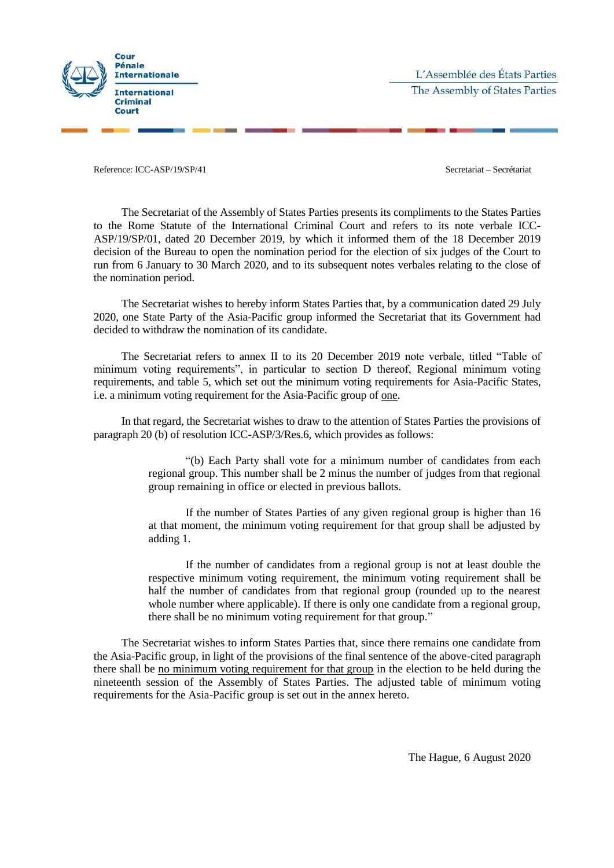

Reference: ICC-ASP/19/SP/41 Secretariat – Secrétariat – Secrétariat – Secrétariat – Secrétariat – Secrétariat – Secrétariat – Secrétariat – Secrétariat – Secrétariat – Secrétariat – Secrétariat – Secrétariat – Secrétariat

The Secretariat of the Assembly of States Parties presents its compliments to the States Parties to the Rome Statute of the International Criminal Court and refers to its note verbale ICC-ASP/19/SP/01, dated 20 December 2019, by which it informed them of the 18 December 2019 decision of the Bureau to open the nomination period for the election of six judges of the Court to run from 6 January to 30 March 2020, and to its subsequent notes verbales relating to the close of the nomination period.

The Secretariat wishes to hereby inform States Parties that, by a communication dated 29 July 2020, one State Party of the Asia-Pacific group informed the Secretariat that its Government had decided to withdraw the nomination of its candidate.

The Secretariat refers to annex II to its 20 December 2019 note verbale, titled "Table of minimum voting requirements", in particular to section D thereof, Regional minimum voting requirements, and table 5, which set out the minimum voting requirements for Asia-Pacific States, i.e. a minimum voting requirement for the Asia-Pacific group of one.

In that regard, the Secretariat wishes to draw to the attention of States Parties the provisions of paragraph 20 (b) of resolution ICC-ASP/3/Res.6, which provides as follows:

> "(b) Each Party shall vote for a minimum number of candidates from each regional group. This number shall be 2 minus the number of judges from that regional group remaining in office or elected in previous ballots.

> If the number of States Parties of any given regional group is higher than 16 at that moment, the minimum voting requirement for that group shall be adjusted by adding 1.

> If the number of candidates from a regional group is not at least double the respective minimum voting requirement, the minimum voting requirement shall be half the number of candidates from that regional group (rounded up to the nearest whole number where applicable). If there is only one candidate from a regional group, there shall be no minimum voting requirement for that group."

The Secretariat wishes to inform States Parties that, since there remains one candidate from the Asia-Pacific group, in light of the provisions of the final sentence of the above-cited paragraph there shall be no minimum voting requirement for that group in the election to be held during the nineteenth session of the Assembly of States Parties. The adjusted table of minimum voting requirements for the Asia-Pacific group is set out in the annex hereto.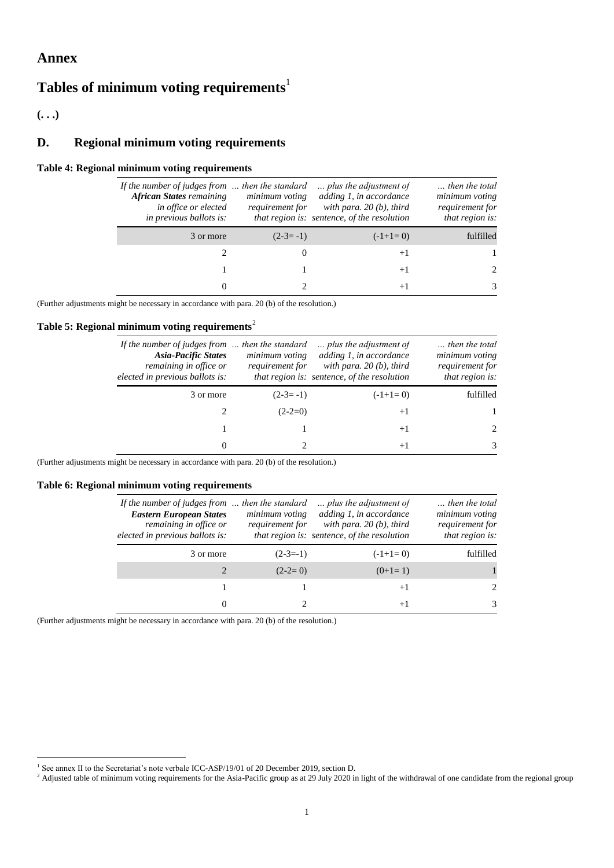## **Annex**

# **Tables of minimum voting requirements**<sup>1</sup>

**(. . .)**

## **D. Regional minimum voting requirements**

#### **Table 4: Regional minimum voting requirements**

| then the total<br>minimum voting<br>requirement for<br>that region is: | plus the adjustment of<br>adding 1, in accordance<br>with para. $20(b)$ , third<br>that region is: sentence, of the resolution | then the standard<br>minimum voting<br>requirement for | If the number of judges from $\ldots$<br><b>African States</b> remaining<br>in office or elected<br>in previous ballots is: |
|------------------------------------------------------------------------|--------------------------------------------------------------------------------------------------------------------------------|--------------------------------------------------------|-----------------------------------------------------------------------------------------------------------------------------|
| fulfilled                                                              | $(-1+1=0)$                                                                                                                     | $(2-3=-1)$                                             | 3 or more                                                                                                                   |
|                                                                        | $+1$                                                                                                                           |                                                        |                                                                                                                             |
|                                                                        | $+1$                                                                                                                           |                                                        |                                                                                                                             |
|                                                                        | $^{+}$                                                                                                                         |                                                        | $_{0}$                                                                                                                      |

(Further adjustments might be necessary in accordance with para. 20 (b) of the resolution.)

## **Table 5: Regional minimum voting requirements**<sup>2</sup>

| then the total<br>minimum voting<br>requirement for<br>that region is: | plus the adjustment of<br>adding 1, in accordance<br>with para. $20(b)$ , third<br>that region is: sentence, of the resolution | minimum voting<br>requirement for | If the number of judges from $\ldots$ then the standard<br><b>Asia-Pacific States</b><br>remaining in office or<br>elected in previous ballots is: |
|------------------------------------------------------------------------|--------------------------------------------------------------------------------------------------------------------------------|-----------------------------------|----------------------------------------------------------------------------------------------------------------------------------------------------|
| fulfilled                                                              | $(-1+1=0)$                                                                                                                     | $(2-3=-1)$                        | 3 or more                                                                                                                                          |
|                                                                        | $+1$                                                                                                                           | $(2-2=0)$                         |                                                                                                                                                    |
| $\mathcal{D}$                                                          | $+1$                                                                                                                           |                                   |                                                                                                                                                    |
| 3                                                                      | $^{+}$                                                                                                                         |                                   | 0                                                                                                                                                  |

(Further adjustments might be necessary in accordance with para. 20 (b) of the resolution.)

#### **Table 6: Regional minimum voting requirements**

| then the total<br>minimum voting<br>requirement for<br>that region is: | plus the adjustment of<br>adding 1, in accordance<br>with para. $20(b)$ , third<br>that region is: sentence, of the resolution | minimum voting<br>requirement for | If the number of judges from $\ldots$ then the standard<br><b>Eastern European States</b><br>remaining in office or<br>elected in previous ballots is: |
|------------------------------------------------------------------------|--------------------------------------------------------------------------------------------------------------------------------|-----------------------------------|--------------------------------------------------------------------------------------------------------------------------------------------------------|
| fulfilled                                                              | $(-1+1=0)$                                                                                                                     | $(2-3=-1)$                        | 3 or more                                                                                                                                              |
|                                                                        | $(0+1=1)$                                                                                                                      | $(2-2=0)$                         |                                                                                                                                                        |
| $\mathcal{D}_{\mathcal{L}}$                                            | $+1$                                                                                                                           |                                   |                                                                                                                                                        |
| 3                                                                      | $+1$                                                                                                                           |                                   | $\Omega$                                                                                                                                               |

(Further adjustments might be necessary in accordance with para. 20 (b) of the resolution.)

 1 See annex II to the Secretariat's note verbale ICC-ASP/19/01 of 20 December 2019, section D.

 $<sup>2</sup>$  Adjusted table of minimum voting requirements for the Asia-Pacific group as at 29 July 2020 in light of the withdrawal of one candidate from the regional group</sup>